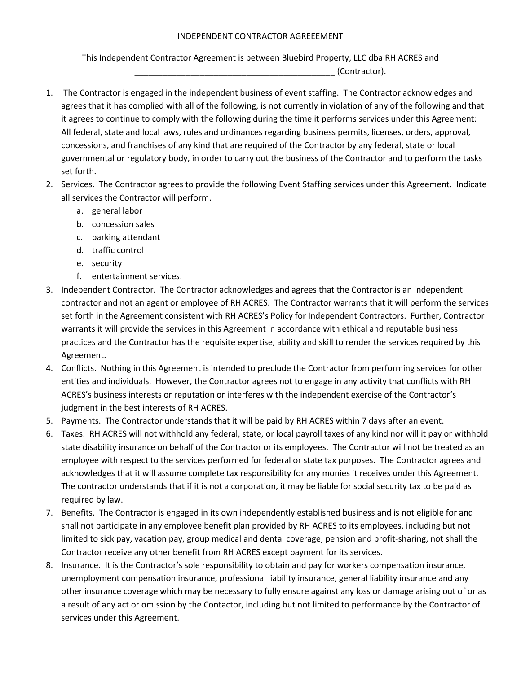## INDEPENDENT CONTRACTOR AGREEEMENT

This Independent Contractor Agreement is between Bluebird Property, LLC dba RH ACRES and

\_\_\_\_\_\_\_\_\_\_\_\_\_\_\_\_\_\_\_\_\_\_\_\_\_\_\_\_\_\_\_\_\_\_\_\_\_\_\_\_\_\_\_ (Contractor).

- 1. The Contractor is engaged in the independent business of event staffing. The Contractor acknowledges and agrees that it has complied with all of the following, is not currently in violation of any of the following and that it agrees to continue to comply with the following during the time it performs services under this Agreement: All federal, state and local laws, rules and ordinances regarding business permits, licenses, orders, approval, concessions, and franchises of any kind that are required of the Contractor by any federal, state or local governmental or regulatory body, in order to carry out the business of the Contractor and to perform the tasks set forth.
- 2. Services. The Contractor agrees to provide the following Event Staffing services under this Agreement. Indicate all services the Contractor will perform.
	- a. general labor
	- b. concession sales
	- c. parking attendant
	- d. traffic control
	- e. security
	- f. entertainment services.
- 3. Independent Contractor. The Contractor acknowledges and agrees that the Contractor is an independent contractor and not an agent or employee of RH ACRES. The Contractor warrants that it will perform the services set forth in the Agreement consistent with RH ACRES's Policy for Independent Contractors. Further, Contractor warrants it will provide the services in this Agreement in accordance with ethical and reputable business practices and the Contractor has the requisite expertise, ability and skill to render the services required by this Agreement.
- 4. Conflicts. Nothing in this Agreement is intended to preclude the Contractor from performing services for other entities and individuals. However, the Contractor agrees not to engage in any activity that conflicts with RH ACRES's business interests or reputation or interferes with the independent exercise of the Contractor's judgment in the best interests of RH ACRES.
- 5. Payments. The Contractor understands that it will be paid by RH ACRES within 7 days after an event.
- 6. Taxes. RH ACRES will not withhold any federal, state, or local payroll taxes of any kind nor will it pay or withhold state disability insurance on behalf of the Contractor or its employees. The Contractor will not be treated as an employee with respect to the services performed for federal or state tax purposes. The Contractor agrees and acknowledges that it will assume complete tax responsibility for any monies it receives under this Agreement. The contractor understands that if it is not a corporation, it may be liable for social security tax to be paid as required by law.
- 7. Benefits. The Contractor is engaged in its own independently established business and is not eligible for and shall not participate in any employee benefit plan provided by RH ACRES to its employees, including but not limited to sick pay, vacation pay, group medical and dental coverage, pension and profit-sharing, not shall the Contractor receive any other benefit from RH ACRES except payment for its services.
- 8. Insurance. It is the Contractor's sole responsibility to obtain and pay for workers compensation insurance, unemployment compensation insurance, professional liability insurance, general liability insurance and any other insurance coverage which may be necessary to fully ensure against any loss or damage arising out of or as a result of any act or omission by the Contactor, including but not limited to performance by the Contractor of services under this Agreement.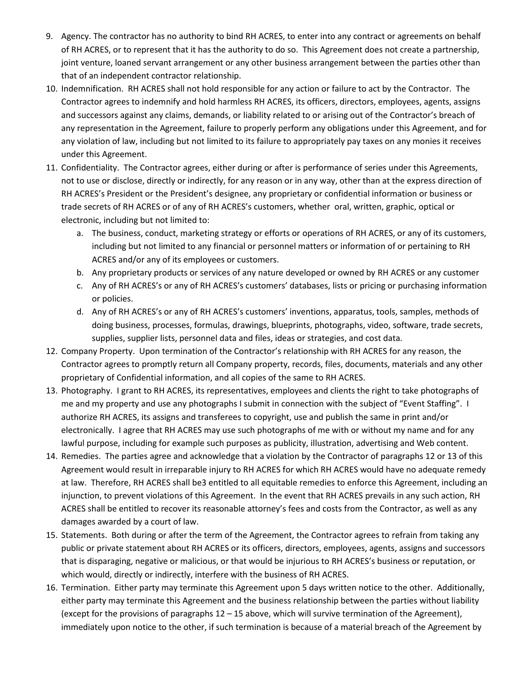- 9. Agency. The contractor has no authority to bind RH ACRES, to enter into any contract or agreements on behalf of RH ACRES, or to represent that it has the authority to do so. This Agreement does not create a partnership, joint venture, loaned servant arrangement or any other business arrangement between the parties other than that of an independent contractor relationship.
- 10. Indemnification. RH ACRES shall not hold responsible for any action or failure to act by the Contractor. The Contractor agrees to indemnify and hold harmless RH ACRES, its officers, directors, employees, agents, assigns and successors against any claims, demands, or liability related to or arising out of the Contractor's breach of any representation in the Agreement, failure to properly perform any obligations under this Agreement, and for any violation of law, including but not limited to its failure to appropriately pay taxes on any monies it receives under this Agreement.
- 11. Confidentiality. The Contractor agrees, either during or after is performance of series under this Agreements, not to use or disclose, directly or indirectly, for any reason or in any way, other than at the express direction of RH ACRES's President or the President's designee, any proprietary or confidential information or business or trade secrets of RH ACRES or of any of RH ACRES's customers, whether oral, written, graphic, optical or electronic, including but not limited to:
	- a. The business, conduct, marketing strategy or efforts or operations of RH ACRES, or any of its customers, including but not limited to any financial or personnel matters or information of or pertaining to RH ACRES and/or any of its employees or customers.
	- b. Any proprietary products or services of any nature developed or owned by RH ACRES or any customer
	- c. Any of RH ACRES's or any of RH ACRES's customers' databases, lists or pricing or purchasing information or policies.
	- d. Any of RH ACRES's or any of RH ACRES's customers' inventions, apparatus, tools, samples, methods of doing business, processes, formulas, drawings, blueprints, photographs, video, software, trade secrets, supplies, supplier lists, personnel data and files, ideas or strategies, and cost data.
- 12. Company Property. Upon termination of the Contractor's relationship with RH ACRES for any reason, the Contractor agrees to promptly return all Company property, records, files, documents, materials and any other proprietary of Confidential information, and all copies of the same to RH ACRES.
- 13. Photography. I grant to RH ACRES, its representatives, employees and clients the right to take photographs of me and my property and use any photographs I submit in connection with the subject of "Event Staffing". I authorize RH ACRES, its assigns and transferees to copyright, use and publish the same in print and/or electronically. I agree that RH ACRES may use such photographs of me with or without my name and for any lawful purpose, including for example such purposes as publicity, illustration, advertising and Web content.
- 14. Remedies. The parties agree and acknowledge that a violation by the Contractor of paragraphs 12 or 13 of this Agreement would result in irreparable injury to RH ACRES for which RH ACRES would have no adequate remedy at law. Therefore, RH ACRES shall be3 entitled to all equitable remedies to enforce this Agreement, including an injunction, to prevent violations of this Agreement. In the event that RH ACRES prevails in any such action, RH ACRES shall be entitled to recover its reasonable attorney's fees and costs from the Contractor, as well as any damages awarded by a court of law.
- 15. Statements. Both during or after the term of the Agreement, the Contractor agrees to refrain from taking any public or private statement about RH ACRES or its officers, directors, employees, agents, assigns and successors that is disparaging, negative or malicious, or that would be injurious to RH ACRES's business or reputation, or which would, directly or indirectly, interfere with the business of RH ACRES.
- 16. Termination. Either party may terminate this Agreement upon 5 days written notice to the other. Additionally, either party may terminate this Agreement and the business relationship between the parties without liability (except for the provisions of paragraphs  $12 - 15$  above, which will survive termination of the Agreement), immediately upon notice to the other, if such termination is because of a material breach of the Agreement by